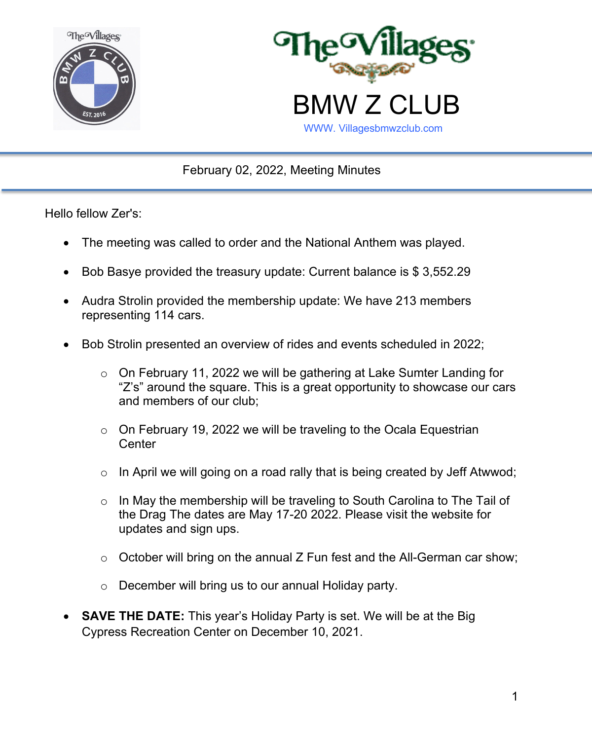



February 02, 2022, Meeting Minutes

Hello fellow Zer's:

- The meeting was called to order and the National Anthem was played.
- Bob Basye provided the treasury update: Current balance is \$ 3,552.29
- Audra Strolin provided the membership update: We have 213 members representing 114 cars.
- Bob Strolin presented an overview of rides and events scheduled in 2022;
	- $\circ$  On February 11, 2022 we will be gathering at Lake Sumter Landing for "Z's" around the square. This is a great opportunity to showcase our cars and members of our club;
	- o On February 19, 2022 we will be traveling to the Ocala Equestrian **Center**
	- $\circ$  In April we will going on a road rally that is being created by Jeff Atwwod;
	- $\circ$  In May the membership will be traveling to South Carolina to The Tail of the Drag The dates are May 17-20 2022. Please visit the website for updates and sign ups.
	- o October will bring on the annual Z Fun fest and the All-German car show;
	- o December will bring us to our annual Holiday party.
- **SAVE THE DATE:** This year's Holiday Party is set. We will be at the Big Cypress Recreation Center on December 10, 2021.